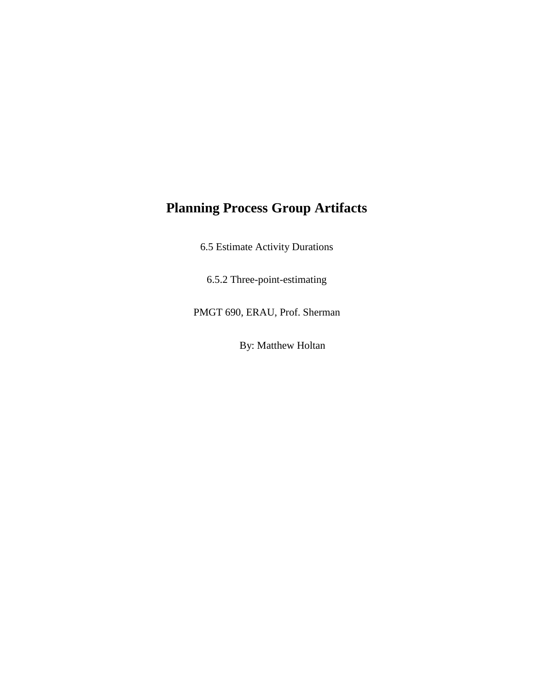## **Planning Process Group Artifacts**

6.5 Estimate Activity Durations

6.5.2 Three-point-estimating

PMGT 690, ERAU, Prof. Sherman

By: Matthew Holtan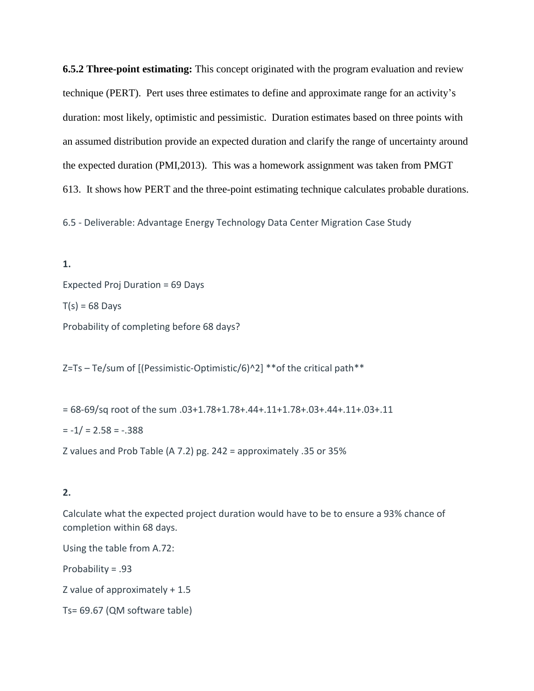**6.5.2 Three-point estimating:** This concept originated with the program evaluation and review technique (PERT). Pert uses three estimates to define and approximate range for an activity's duration: most likely, optimistic and pessimistic. Duration estimates based on three points with an assumed distribution provide an expected duration and clarify the range of uncertainty around the expected duration (PMI,2013). This was a homework assignment was taken from PMGT 613. It shows how PERT and the three-point estimating technique calculates probable durations.

6.5 - Deliverable: Advantage Energy Technology Data Center Migration Case Study

**1.** Expected Proj Duration = 69 Days  $T(s) = 68$  Days Probability of completing before 68 days?

Z=Ts – Te/sum of [(Pessimistic-Optimistic/6)^2] \*\*of the critical path\*\*

= 68-69/sq root of the sum .03+1.78+1.78+.44+.11+1.78+.03+.44+.11+.03+.11  $= -1/ = 2.58 = -0.388$ Z values and Prob Table (A 7.2) pg. 242 = approximately .35 or 35%

## **2.**

Calculate what the expected project duration would have to be to ensure a 93% chance of completion within 68 days.

Using the table from A.72:

Probability = .93

Z value of approximately + 1.5

Ts= 69.67 (QM software table)